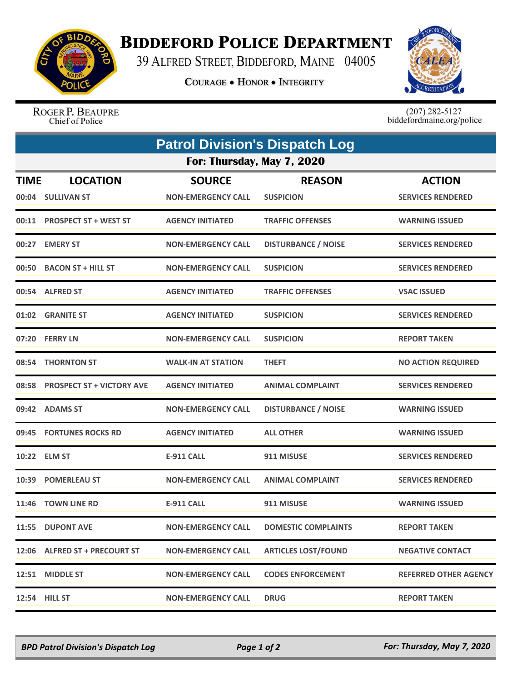

## **BIDDEFORD POLICE DEPARTMENT**

39 ALFRED STREET, BIDDEFORD, MAINE 04005

**COURAGE . HONOR . INTEGRITY** 



ROGER P. BEAUPRE Chief of Police

 $(207)$  282-5127<br>biddefordmaine.org/police

| <b>Patrol Division's Dispatch Log</b> |                                      |                                            |                                   |                                           |  |  |
|---------------------------------------|--------------------------------------|--------------------------------------------|-----------------------------------|-------------------------------------------|--|--|
| For: Thursday, May 7, 2020            |                                      |                                            |                                   |                                           |  |  |
| <b>TIME</b>                           | <b>LOCATION</b><br>00:04 SULLIVAN ST | <b>SOURCE</b><br><b>NON-EMERGENCY CALL</b> | <b>REASON</b><br><b>SUSPICION</b> | <b>ACTION</b><br><b>SERVICES RENDERED</b> |  |  |
|                                       | 00:11 PROSPECT ST + WEST ST          | <b>AGENCY INITIATED</b>                    | <b>TRAFFIC OFFENSES</b>           | <b>WARNING ISSUED</b>                     |  |  |
|                                       | 00:27 EMERY ST                       | <b>NON-EMERGENCY CALL</b>                  | <b>DISTURBANCE / NOISE</b>        | <b>SERVICES RENDERED</b>                  |  |  |
|                                       | 00:50 BACON ST + HILL ST             | <b>NON-EMERGENCY CALL</b>                  | <b>SUSPICION</b>                  | <b>SERVICES RENDERED</b>                  |  |  |
|                                       | 00:54 ALFRED ST                      | <b>AGENCY INITIATED</b>                    | <b>TRAFFIC OFFENSES</b>           | <b>VSAC ISSUED</b>                        |  |  |
|                                       | 01:02 GRANITE ST                     | <b>AGENCY INITIATED</b>                    | <b>SUSPICION</b>                  | <b>SERVICES RENDERED</b>                  |  |  |
|                                       | 07:20 FERRY LN                       | <b>NON-EMERGENCY CALL</b>                  | <b>SUSPICION</b>                  | <b>REPORT TAKEN</b>                       |  |  |
|                                       | 08:54 THORNTON ST                    | <b>WALK-IN AT STATION</b>                  | <b>THEFT</b>                      | <b>NO ACTION REQUIRED</b>                 |  |  |
|                                       | 08:58 PROSPECT ST + VICTORY AVE      | <b>AGENCY INITIATED</b>                    | <b>ANIMAL COMPLAINT</b>           | <b>SERVICES RENDERED</b>                  |  |  |
|                                       | 09:42 ADAMS ST                       | <b>NON-EMERGENCY CALL</b>                  | <b>DISTURBANCE / NOISE</b>        | <b>WARNING ISSUED</b>                     |  |  |
|                                       | 09:45 FORTUNES ROCKS RD              | <b>AGENCY INITIATED</b>                    | <b>ALL OTHER</b>                  | <b>WARNING ISSUED</b>                     |  |  |
|                                       | 10:22 ELM ST                         | <b>E-911 CALL</b>                          | 911 MISUSE                        | <b>SERVICES RENDERED</b>                  |  |  |
|                                       | 10:39 POMERLEAU ST                   | <b>NON-EMERGENCY CALL</b>                  | <b>ANIMAL COMPLAINT</b>           | <b>SERVICES RENDERED</b>                  |  |  |
|                                       | 11:46 TOWN LINE RD                   | <b>E-911 CALL</b>                          | 911 MISUSE                        | <b>WARNING ISSUED</b>                     |  |  |
|                                       | 11:55 DUPONT AVE                     | <b>NON-EMERGENCY CALL</b>                  | <b>DOMESTIC COMPLAINTS</b>        | <b>REPORT TAKEN</b>                       |  |  |
|                                       | 12:06 ALFRED ST + PRECOURT ST        | <b>NON-EMERGENCY CALL</b>                  | <b>ARTICLES LOST/FOUND</b>        | <b>NEGATIVE CONTACT</b>                   |  |  |
|                                       | 12:51 MIDDLE ST                      | <b>NON-EMERGENCY CALL</b>                  | <b>CODES ENFORCEMENT</b>          | <b>REFERRED OTHER AGENCY</b>              |  |  |
|                                       | 12:54 HILL ST                        | <b>NON-EMERGENCY CALL</b>                  | <b>DRUG</b>                       | <b>REPORT TAKEN</b>                       |  |  |